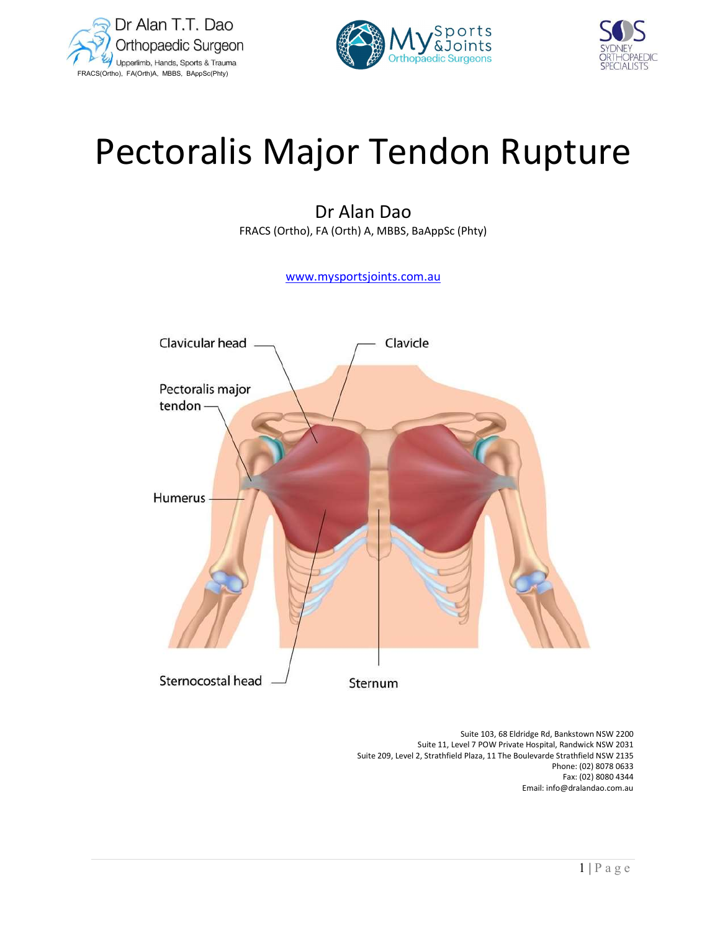





# Pectoralis Major Tendon Rupture

# Dr Alan Dao

FRACS (Ortho), FA (Orth) A, MBBS, BaAppSc (Phty)

www.mysportsjoints.com.au



 Suite 103, 68 Eldridge Rd, Bankstown NSW 2200 Suite 11, Level 7 POW Private Hospital, Randwick NSW 2031 Suite 209, Level 2, Strathfield Plaza, 11 The Boulevarde Strathfield NSW 2135 Phone: (02) 8078 0633 Fax: (02) 8080 4344 Email: info@dralandao.com.au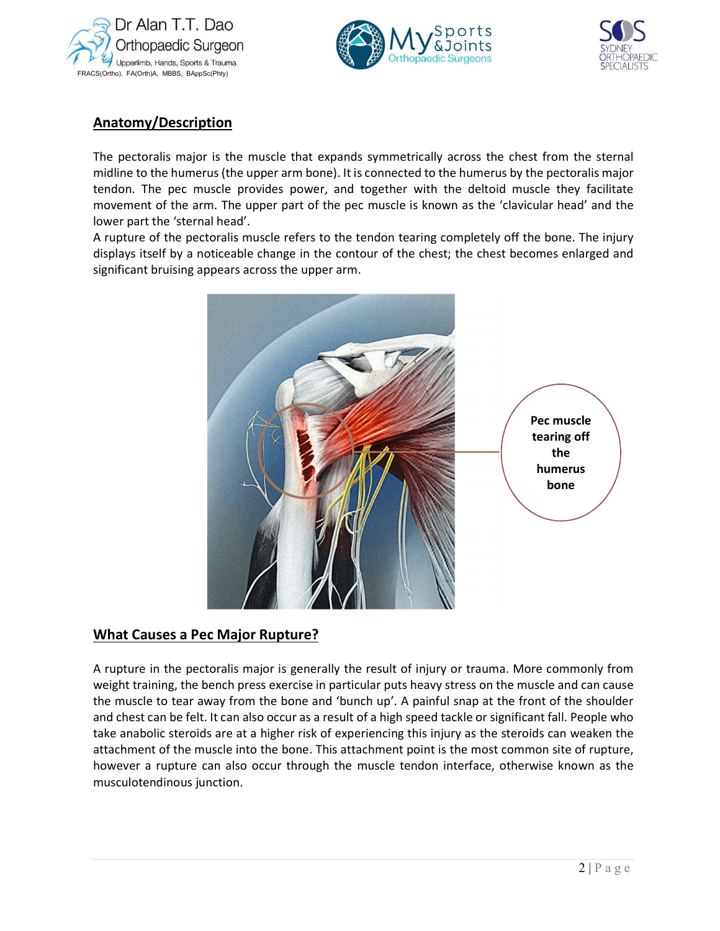





# Anatomy/Description

The pectoralis major is the muscle that expands symmetrically across the chest from the sternal midline to the humerus (the upper arm bone). It is connected to the humerus by the pectoralis major tendon. The pec muscle provides power, and together with the deltoid muscle they facilitate movement of the arm. The upper part of the pec muscle is known as the 'clavicular head' and the lower part the 'sternal head'.

A rupture of the pectoralis muscle refers to the tendon tearing completely off the bone. The injury displays itself by a noticeable change in the contour of the chest; the chest becomes enlarged and significant bruising appears across the upper arm.



## What Causes a Pec Major Rupture?

only from<br>
can cause<br>
e shoulder<br>
eople who<br>
reaken the<br>
of rupture,<br>
wn as the<br>  $2 | P a g e$ A rupture in the pectoralis major is generally the result of injury or trauma. More commonly from weight training, the bench press exercise in particular puts heavy stress on the muscle and can cause the muscle to tear away from the bone and 'bunch up'. A painful snap at the front of the shoulder and chest can be felt. It can also occur as a result of a high speed tackle or significant fall. People who take anabolic steroids are at a higher risk of experiencing this injury as the steroids can weaken the attachment of the muscle into the bone. This attachment point is the most common site of rupture, however a rupture can also occur through the muscle tendon interface, otherwise known as the musculotendinous junction.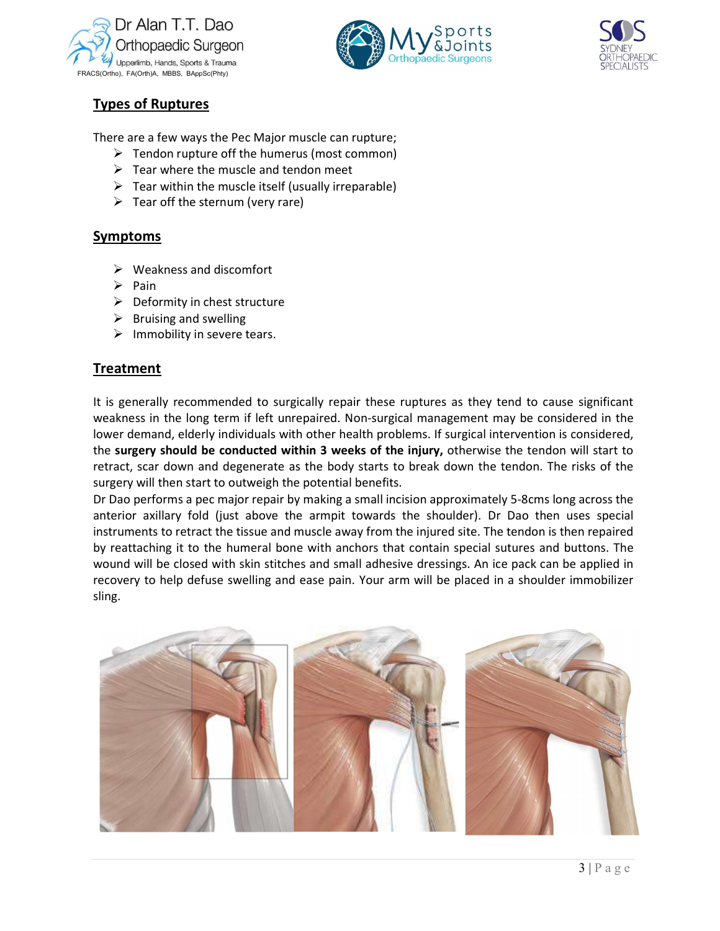





## Types of Ruptures

There are a few ways the Pec Major muscle can rupture;

- $\triangleright$  Tendon rupture off the humerus (most common)
- $\triangleright$  Tear where the muscle and tendon meet
- $\triangleright$  Tear within the muscle itself (usually irreparable)
- $\triangleright$  Tear off the sternum (very rare)

#### Symptoms

- $\triangleright$  Weakness and discomfort
- $\triangleright$  Pain
- $\triangleright$  Deformity in chest structure
- $\triangleright$  Bruising and swelling
- $\triangleright$  Immobility in severe tears.

## Treatment

It is generally recommended to surgically repair these ruptures as they tend to cause significant weakness in the long term if left unrepaired. Non-surgical management may be considered in the lower demand, elderly individuals with other health problems. If surgical intervention is considered, the surgery should be conducted within 3 weeks of the injury, otherwise the tendon will start to retract, scar down and degenerate as the body starts to break down the tendon. The risks of the surgery will then start to outweigh the potential benefits.

Dr Dao performs a pec major repair by making a small incision approximately 5-8cms long across the anterior axillary fold (just above the armpit towards the shoulder). Dr Dao then uses special instruments to retract the tissue and muscle away from the injured site. The tendon is then repaired by reattaching it to the humeral bone with anchors that contain special sutures and buttons. The wound will be closed with skin stitches and small adhesive dressings. An ice pack can be applied in recovery to help defuse swelling and ease pain. Your arm will be placed in a shoulder immobilizer sling.